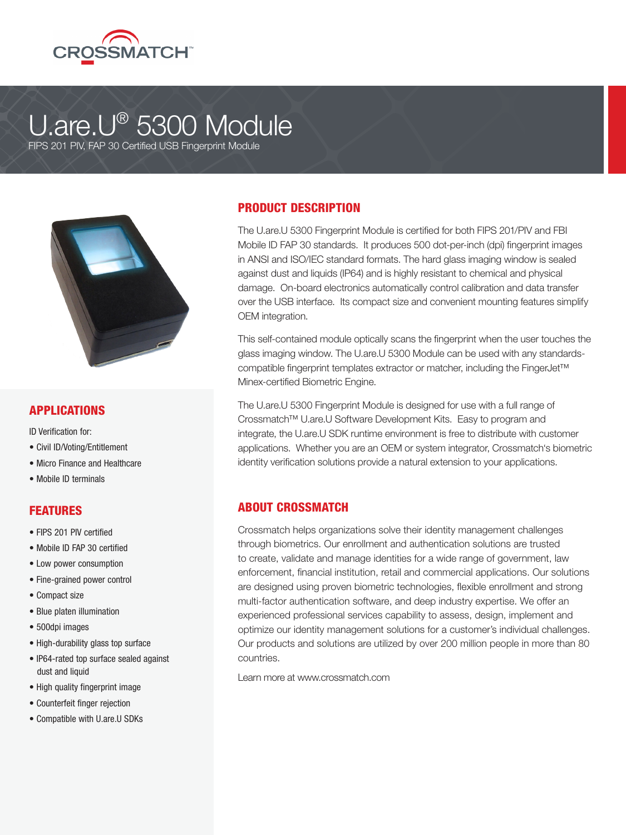

# U.are.U® 5300 Module

FIPS 201 PIV, FAP 30 Certified USB Fingerprint Module



#### APPLICATIONS

ID Verification for:

- Civil ID/Voting/Entitlement
- Micro Finance and Healthcare
- Mobile ID terminals

#### **FEATURES**

- FIPS 201 PIV certified
- Mobile ID FAP 30 certified
- Low power consumption
- Fine-grained power control
- Compact size
- Blue platen illumination
- 500dpi images
- High-durability glass top surface
- IP64-rated top surface sealed against dust and liquid
- High quality fingerprint image
- Counterfeit finger rejection
- Compatible with U.are.U SDKs

#### PRODUCT DESCRIPTION

The U.are.U 5300 Fingerprint Module is certified for both FIPS 201/PIV and FBI Mobile ID FAP 30 standards. It produces 500 dot-per-inch (dpi) fingerprint images in ANSI and ISO/IEC standard formats. The hard glass imaging window is sealed against dust and liquids (IP64) and is highly resistant to chemical and physical damage. On-board electronics automatically control calibration and data transfer over the USB interface. Its compact size and convenient mounting features simplify OEM integration.

This self-contained module optically scans the fingerprint when the user touches the glass imaging window. The U.are.U 5300 Module can be used with any standardscompatible fingerprint templates extractor or matcher, including the FingerJet™ Minex-certified Biometric Engine.

The U.are.U 5300 Fingerprint Module is designed for use with a full range of Crossmatch™ U.are.U Software Development Kits. Easy to program and integrate, the U.are.U SDK runtime environment is free to distribute with customer applications. Whether you are an OEM or system integrator, Crossmatch's biometric identity verification solutions provide a natural extension to your applications.

### ABOUT CROSSMATCH

Crossmatch helps organizations solve their identity management challenges through biometrics. Our enrollment and authentication solutions are trusted to create, validate and manage identities for a wide range of government, law enforcement, financial institution, retail and commercial applications. Our solutions are designed using proven biometric technologies, flexible enrollment and strong multi-factor authentication software, and deep industry expertise. We offer an experienced professional services capability to assess, design, implement and optimize our identity management solutions for a customer's individual challenges. Our products and solutions are utilized by over 200 million people in more than 80 countries.

Learn more at www.crossmatch.com